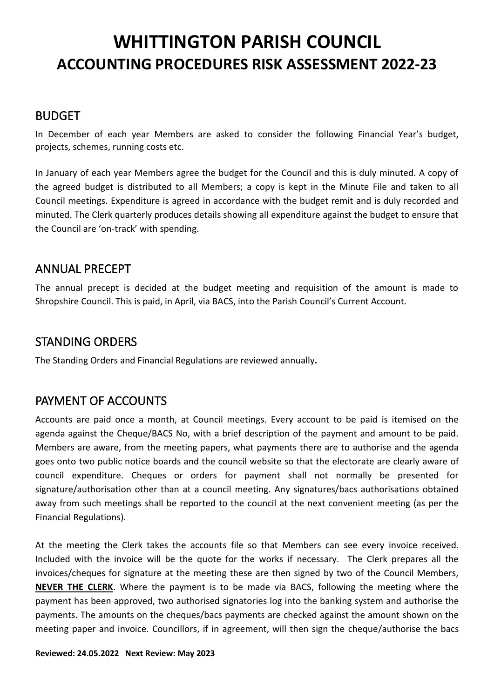#### BUDGET

In December of each year Members are asked to consider the following Financial Year's budget, projects, schemes, running costs etc.

In January of each year Members agree the budget for the Council and this is duly minuted. A copy of the agreed budget is distributed to all Members; a copy is kept in the Minute File and taken to all Council meetings. Expenditure is agreed in accordance with the budget remit and is duly recorded and minuted. The Clerk quarterly produces details showing all expenditure against the budget to ensure that the Council are 'on-track' with spending.

#### ANNUAL PRECEPT

The annual precept is decided at the budget meeting and requisition of the amount is made to Shropshire Council. This is paid, in April, via BACS, into the Parish Council's Current Account.

#### STANDING ORDERS

The Standing Orders and Financial Regulations are reviewed annually**.**

#### PAYMENT OF ACCOUNTS

Accounts are paid once a month, at Council meetings. Every account to be paid is itemised on the agenda against the Cheque/BACS No, with a brief description of the payment and amount to be paid. Members are aware, from the meeting papers, what payments there are to authorise and the agenda goes onto two public notice boards and the council website so that the electorate are clearly aware of council expenditure. Cheques or orders for payment shall not normally be presented for signature/authorisation other than at a council meeting. Any signatures/bacs authorisations obtained away from such meetings shall be reported to the council at the next convenient meeting (as per the Financial Regulations).

At the meeting the Clerk takes the accounts file so that Members can see every invoice received. Included with the invoice will be the quote for the works if necessary. The Clerk prepares all the invoices/cheques for signature at the meeting these are then signed by two of the Council Members, **NEVER THE CLERK**. Where the payment is to be made via BACS, following the meeting where the payment has been approved, two authorised signatories log into the banking system and authorise the payments. The amounts on the cheques/bacs payments are checked against the amount shown on the meeting paper and invoice. Councillors, if in agreement, will then sign the cheque/authorise the bacs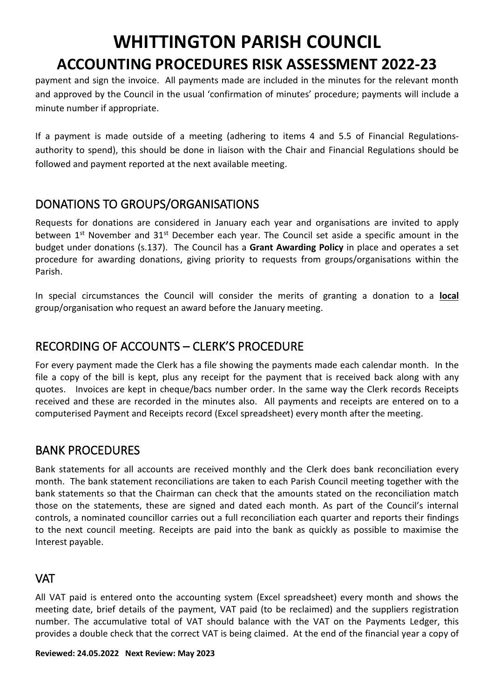payment and sign the invoice. All payments made are included in the minutes for the relevant month and approved by the Council in the usual 'confirmation of minutes' procedure; payments will include a minute number if appropriate.

If a payment is made outside of a meeting (adhering to items 4 and 5.5 of Financial Regulationsauthority to spend), this should be done in liaison with the Chair and Financial Regulations should be followed and payment reported at the next available meeting.

### DONATIONS TO GROUPS/ORGANISATIONS

Requests for donations are considered in January each year and organisations are invited to apply between  $1<sup>st</sup>$  November and  $31<sup>st</sup>$  December each year. The Council set aside a specific amount in the budget under donations (s.137). The Council has a **Grant Awarding Policy** in place and operates a set procedure for awarding donations, giving priority to requests from groups/organisations within the Parish.

In special circumstances the Council will consider the merits of granting a donation to a **local** group/organisation who request an award before the January meeting.

# RECORDING OF ACCOUNTS – CLERK'S PROCEDURE

For every payment made the Clerk has a file showing the payments made each calendar month. In the file a copy of the bill is kept, plus any receipt for the payment that is received back along with any quotes. Invoices are kept in cheque/bacs number order. In the same way the Clerk records Receipts received and these are recorded in the minutes also. All payments and receipts are entered on to a computerised Payment and Receipts record (Excel spreadsheet) every month after the meeting.

# BANK PROCEDURES

Bank statements for all accounts are received monthly and the Clerk does bank reconciliation every month. The bank statement reconciliations are taken to each Parish Council meeting together with the bank statements so that the Chairman can check that the amounts stated on the reconciliation match those on the statements, these are signed and dated each month. As part of the Council's internal controls, a nominated councillor carries out a full reconciliation each quarter and reports their findings to the next council meeting. Receipts are paid into the bank as quickly as possible to maximise the Interest payable.

#### **VAT**

All VAT paid is entered onto the accounting system (Excel spreadsheet) every month and shows the meeting date, brief details of the payment, VAT paid (to be reclaimed) and the suppliers registration number. The accumulative total of VAT should balance with the VAT on the Payments Ledger, this provides a double check that the correct VAT is being claimed. At the end of the financial year a copy of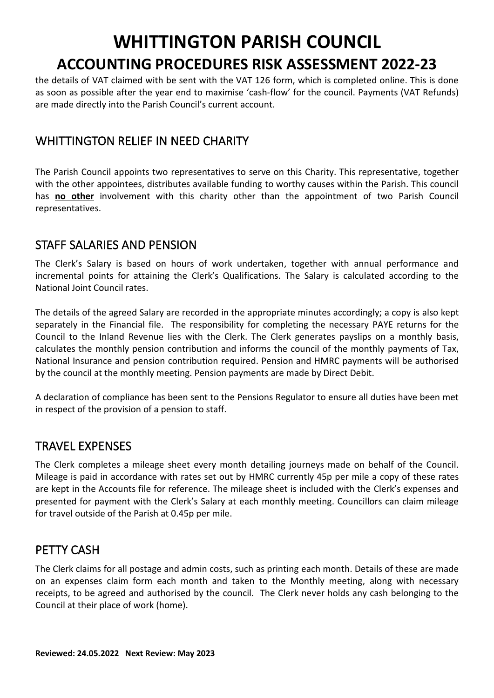the details of VAT claimed with be sent with the VAT 126 form, which is completed online. This is done as soon as possible after the year end to maximise 'cash-flow' for the council. Payments (VAT Refunds) are made directly into the Parish Council's current account.

#### WHITTINGTON RELIEF IN NEED CHARITY

The Parish Council appoints two representatives to serve on this Charity. This representative, together with the other appointees, distributes available funding to worthy causes within the Parish. This council has **no other** involvement with this charity other than the appointment of two Parish Council representatives.

#### STAFF SALARIES AND PENSION

The Clerk's Salary is based on hours of work undertaken, together with annual performance and incremental points for attaining the Clerk's Qualifications. The Salary is calculated according to the National Joint Council rates.

The details of the agreed Salary are recorded in the appropriate minutes accordingly; a copy is also kept separately in the Financial file. The responsibility for completing the necessary PAYE returns for the Council to the Inland Revenue lies with the Clerk. The Clerk generates payslips on a monthly basis, calculates the monthly pension contribution and informs the council of the monthly payments of Tax, National Insurance and pension contribution required. Pension and HMRC payments will be authorised by the council at the monthly meeting. Pension payments are made by Direct Debit.

A declaration of compliance has been sent to the Pensions Regulator to ensure all duties have been met in respect of the provision of a pension to staff.

#### TRAVEL EXPENSES

The Clerk completes a mileage sheet every month detailing journeys made on behalf of the Council. Mileage is paid in accordance with rates set out by HMRC currently 45p per mile a copy of these rates are kept in the Accounts file for reference. The mileage sheet is included with the Clerk's expenses and presented for payment with the Clerk's Salary at each monthly meeting. Councillors can claim mileage for travel outside of the Parish at 0.45p per mile.

#### PETTY CASH

The Clerk claims for all postage and admin costs, such as printing each month. Details of these are made on an expenses claim form each month and taken to the Monthly meeting, along with necessary receipts, to be agreed and authorised by the council. The Clerk never holds any cash belonging to the Council at their place of work (home).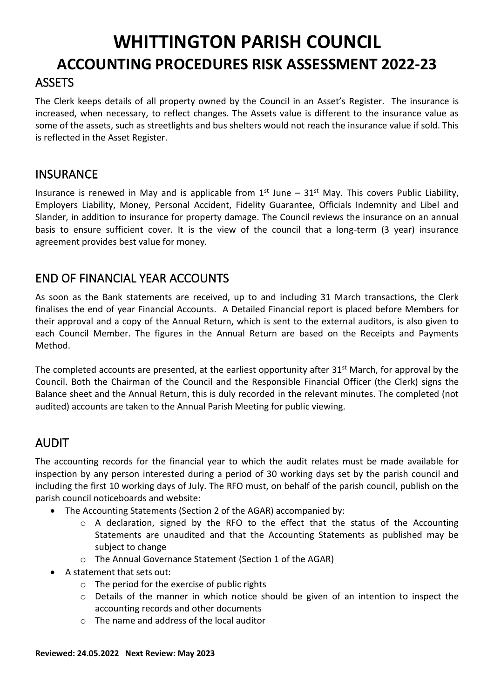The Clerk keeps details of all property owned by the Council in an Asset's Register. The insurance is increased, when necessary, to reflect changes. The Assets value is different to the insurance value as some of the assets, such as streetlights and bus shelters would not reach the insurance value if sold. This is reflected in the Asset Register.

#### **INSURANCE**

Insurance is renewed in May and is applicable from  $1<sup>st</sup>$  June –  $31<sup>st</sup>$  May. This covers Public Liability, Employers Liability, Money, Personal Accident, Fidelity Guarantee, Officials Indemnity and Libel and Slander, in addition to insurance for property damage. The Council reviews the insurance on an annual basis to ensure sufficient cover. It is the view of the council that a long-term (3 year) insurance agreement provides best value for money.

### END OF FINANCIAL YEAR ACCOUNTS

As soon as the Bank statements are received, up to and including 31 March transactions, the Clerk finalises the end of year Financial Accounts. A Detailed Financial report is placed before Members for their approval and a copy of the Annual Return, which is sent to the external auditors, is also given to each Council Member. The figures in the Annual Return are based on the Receipts and Payments Method.

The completed accounts are presented, at the earliest opportunity after  $31<sup>st</sup>$  March, for approval by the Council. Both the Chairman of the Council and the Responsible Financial Officer (the Clerk) signs the Balance sheet and the Annual Return, this is duly recorded in the relevant minutes. The completed (not audited) accounts are taken to the Annual Parish Meeting for public viewing.

# AUDIT

The accounting records for the financial year to which the audit relates must be made available for inspection by any person interested during a period of 30 working days set by the parish council and including the first 10 working days of July. The RFO must, on behalf of the parish council, publish on the parish council noticeboards and website:

- The Accounting Statements (Section 2 of the AGAR) accompanied by:
	- $\circ$  A declaration, signed by the RFO to the effect that the status of the Accounting Statements are unaudited and that the Accounting Statements as published may be subject to change
	- o The Annual Governance Statement (Section 1 of the AGAR)
- A statement that sets out:
	- o The period for the exercise of public rights
	- o Details of the manner in which notice should be given of an intention to inspect the accounting records and other documents
	- o The name and address of the local auditor